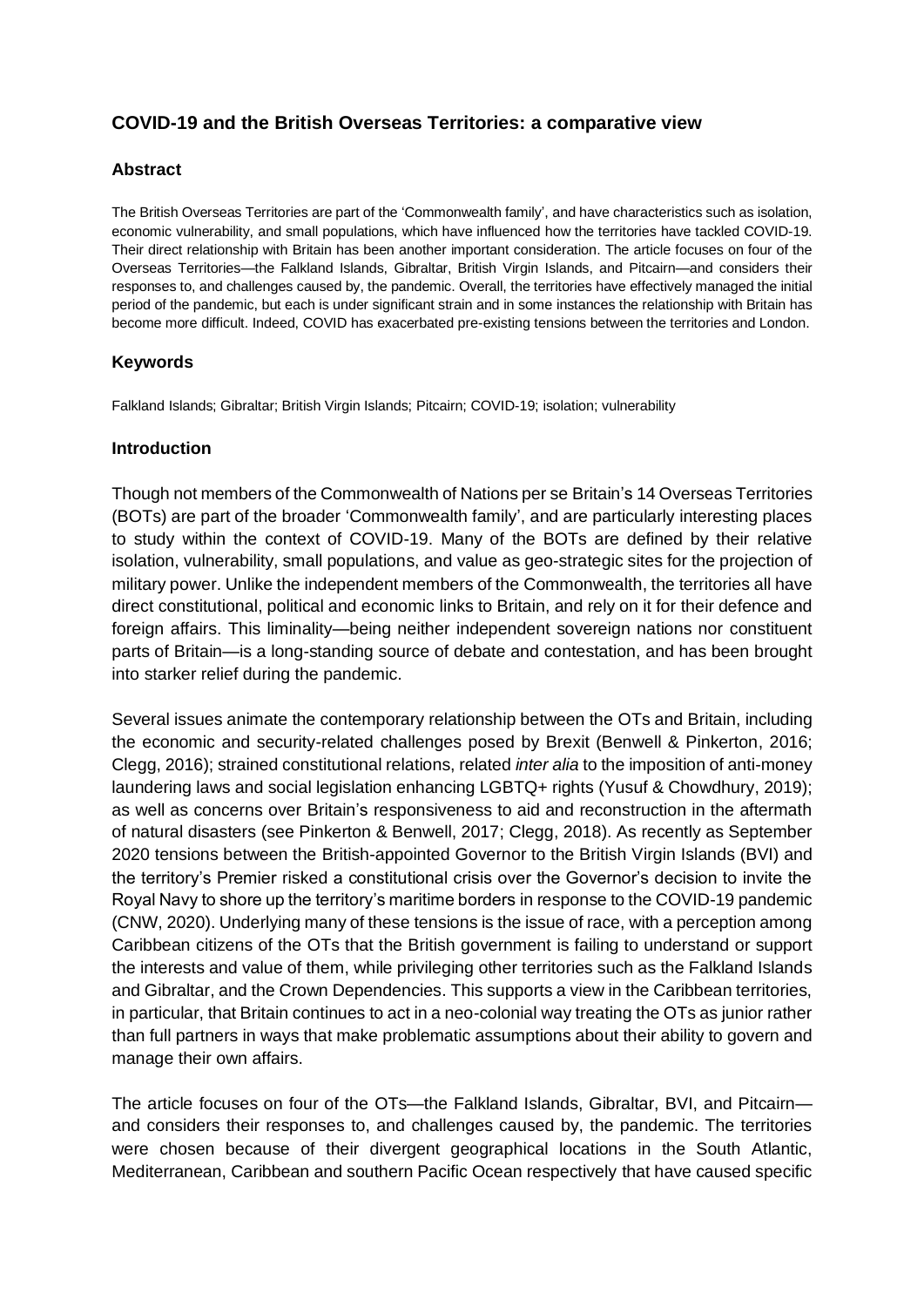# **COVID-19 and the British Overseas Territories: a comparative view**

### **Abstract**

The British Overseas Territories are part of the 'Commonwealth family', and have characteristics such as isolation, economic vulnerability, and small populations, which have influenced how the territories have tackled COVID-19. Their direct relationship with Britain has been another important consideration. The article focuses on four of the Overseas Territories—the Falkland Islands, Gibraltar, British Virgin Islands, and Pitcairn—and considers their responses to, and challenges caused by, the pandemic. Overall, the territories have effectively managed the initial period of the pandemic, but each is under significant strain and in some instances the relationship with Britain has become more difficult. Indeed, COVID has exacerbated pre-existing tensions between the territories and London.

#### **Keywords**

Falkland Islands; Gibraltar; British Virgin Islands; Pitcairn; COVID-19; isolation; vulnerability

#### **Introduction**

Though not members of the Commonwealth of Nations per se Britain's 14 Overseas Territories (BOTs) are part of the broader 'Commonwealth family', and are particularly interesting places to study within the context of COVID-19. Many of the BOTs are defined by their relative isolation, vulnerability, small populations, and value as geo-strategic sites for the projection of military power. Unlike the independent members of the Commonwealth, the territories all have direct constitutional, political and economic links to Britain, and rely on it for their defence and foreign affairs. This liminality—being neither independent sovereign nations nor constituent parts of Britain—is a long-standing source of debate and contestation, and has been brought into starker relief during the pandemic.

Several issues animate the contemporary relationship between the OTs and Britain, including the economic and security-related challenges posed by Brexit (Benwell & Pinkerton, 2016; Clegg, 2016); strained constitutional relations, related *inter alia* to the imposition of anti-money laundering laws and social legislation enhancing LGBTQ+ rights (Yusuf & Chowdhury, 2019); as well as concerns over Britain's responsiveness to aid and reconstruction in the aftermath of natural disasters (see Pinkerton & Benwell, 2017; Clegg, 2018). As recently as September 2020 tensions between the British-appointed Governor to the British Virgin Islands (BVI) and the territory's Premier risked a constitutional crisis over the Governor's decision to invite the Royal Navy to shore up the territory's maritime borders in response to the COVID-19 pandemic (CNW, 2020). Underlying many of these tensions is the issue of race, with a perception among Caribbean citizens of the OTs that the British government is failing to understand or support the interests and value of them, while privileging other territories such as the Falkland Islands and Gibraltar, and the Crown Dependencies. This supports a view in the Caribbean territories, in particular, that Britain continues to act in a neo-colonial way treating the OTs as junior rather than full partners in ways that make problematic assumptions about their ability to govern and manage their own affairs.

The article focuses on four of the OTs—the Falkland Islands, Gibraltar, BVI, and Pitcairn and considers their responses to, and challenges caused by, the pandemic. The territories were chosen because of their divergent geographical locations in the South Atlantic, Mediterranean, Caribbean and southern Pacific Ocean respectively that have caused specific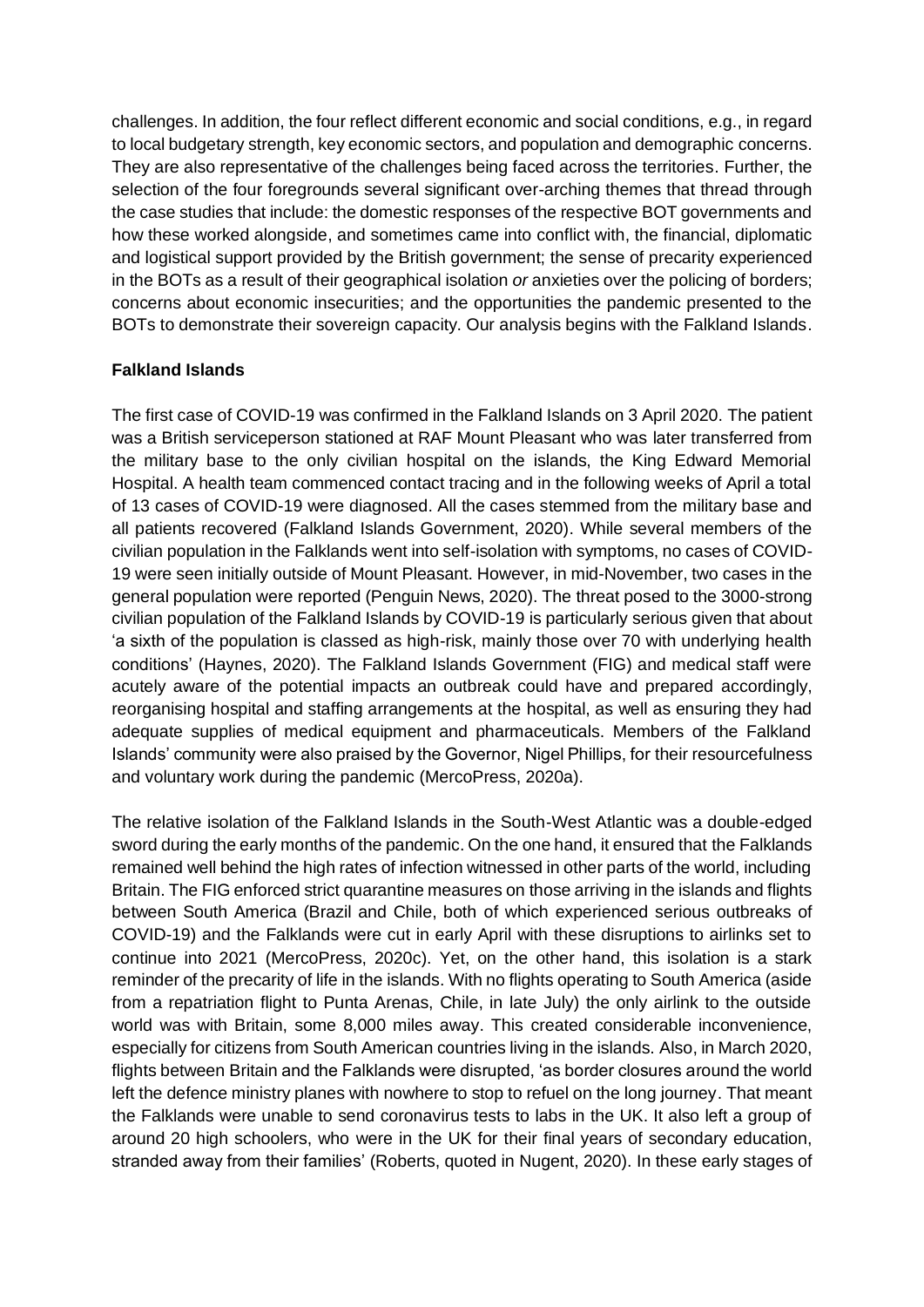challenges. In addition, the four reflect different economic and social conditions, e.g., in regard to local budgetary strength, key economic sectors, and population and demographic concerns. They are also representative of the challenges being faced across the territories. Further, the selection of the four foregrounds several significant over-arching themes that thread through the case studies that include: the domestic responses of the respective BOT governments and how these worked alongside, and sometimes came into conflict with, the financial, diplomatic and logistical support provided by the British government; the sense of precarity experienced in the BOTs as a result of their geographical isolation *or* anxieties over the policing of borders; concerns about economic insecurities; and the opportunities the pandemic presented to the BOTs to demonstrate their sovereign capacity. Our analysis begins with the Falkland Islands.

# **Falkland Islands**

The first case of COVID-19 was confirmed in the Falkland Islands on 3 April 2020. The patient was a British serviceperson stationed at RAF Mount Pleasant who was later transferred from the military base to the only civilian hospital on the islands, the King Edward Memorial Hospital. A health team commenced contact tracing and in the following weeks of April a total of 13 cases of COVID-19 were diagnosed. All the cases stemmed from the military base and all patients recovered (Falkland Islands Government, 2020). While several members of the civilian population in the Falklands went into self-isolation with symptoms, no cases of COVID-19 were seen initially outside of Mount Pleasant. However, in mid-November, two cases in the general population were reported (Penguin News, 2020). The threat posed to the 3000-strong civilian population of the Falkland Islands by COVID-19 is particularly serious given that about 'a sixth of the population is classed as high-risk, mainly those over 70 with underlying health conditions' (Haynes, 2020). The Falkland Islands Government (FIG) and medical staff were acutely aware of the potential impacts an outbreak could have and prepared accordingly, reorganising hospital and staffing arrangements at the hospital, as well as ensuring they had adequate supplies of medical equipment and pharmaceuticals. Members of the Falkland Islands' community were also praised by the Governor, Nigel Phillips, for their resourcefulness and voluntary work during the pandemic (MercoPress, 2020a).

The relative isolation of the Falkland Islands in the South-West Atlantic was a double-edged sword during the early months of the pandemic. On the one hand, it ensured that the Falklands remained well behind the high rates of infection witnessed in other parts of the world, including Britain. The FIG enforced strict quarantine measures on those arriving in the islands and flights between South America (Brazil and Chile, both of which experienced serious outbreaks of COVID-19) and the Falklands were cut in early April with these disruptions to airlinks set to continue into 2021 (MercoPress, 2020c). Yet, on the other hand, this isolation is a stark reminder of the precarity of life in the islands. With no flights operating to South America (aside from a repatriation flight to Punta Arenas, Chile, in late July) the only airlink to the outside world was with Britain, some 8,000 miles away. This created considerable inconvenience, especially for citizens from South American countries living in the islands. Also, in March 2020, flights between Britain and the Falklands were disrupted, 'as border closures around the world left the defence ministry planes with nowhere to stop to refuel on the long journey. That meant the Falklands were unable to send coronavirus tests to labs in the UK. It also left a group of around 20 high schoolers, who were in the UK for their final years of secondary education, stranded away from their families' (Roberts, quoted in Nugent, 2020). In these early stages of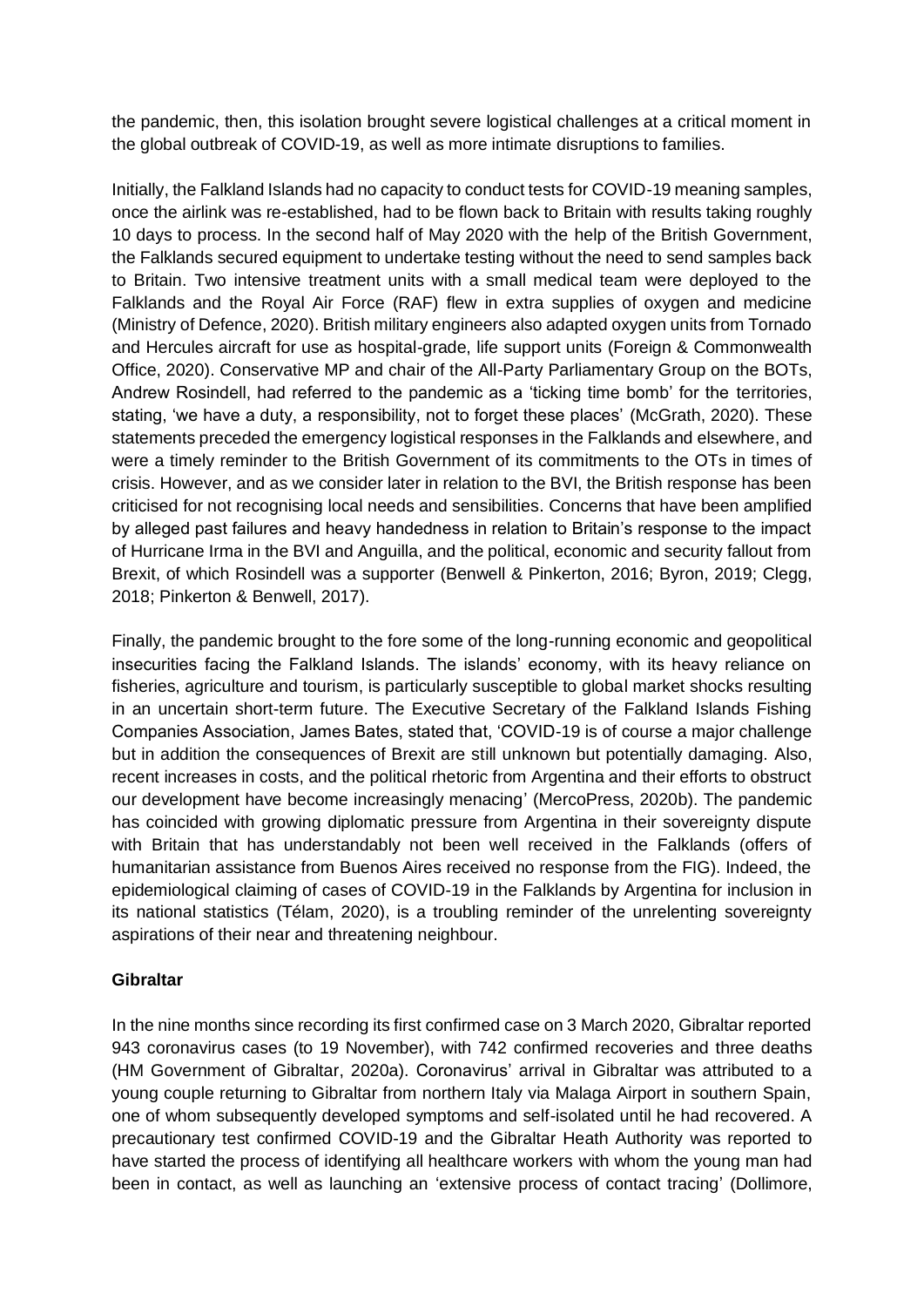the pandemic, then, this isolation brought severe logistical challenges at a critical moment in the global outbreak of COVID-19, as well as more intimate disruptions to families.

Initially, the Falkland Islands had no capacity to conduct tests for COVID-19 meaning samples, once the airlink was re-established, had to be flown back to Britain with results taking roughly 10 days to process. In the second half of May 2020 with the help of the British Government, the Falklands secured equipment to undertake testing without the need to send samples back to Britain. Two intensive treatment units with a small medical team were deployed to the Falklands and the Royal Air Force (RAF) flew in extra supplies of oxygen and medicine (Ministry of Defence, 2020). British military engineers also adapted oxygen units from Tornado and Hercules aircraft for use as hospital-grade, life support units (Foreign & Commonwealth Office, 2020). Conservative MP and chair of the All-Party Parliamentary Group on the BOTs, Andrew Rosindell, had referred to the pandemic as a 'ticking time bomb' for the territories, stating, 'we have a duty, a responsibility, not to forget these places' (McGrath, 2020). These statements preceded the emergency logistical responses in the Falklands and elsewhere, and were a timely reminder to the British Government of its commitments to the OTs in times of crisis. However, and as we consider later in relation to the BVI, the British response has been criticised for not recognising local needs and sensibilities. Concerns that have been amplified by alleged past failures and heavy handedness in relation to Britain's response to the impact of Hurricane Irma in the BVI and Anguilla, and the political, economic and security fallout from Brexit, of which Rosindell was a supporter (Benwell & Pinkerton, 2016; Byron, 2019; Clegg, 2018; Pinkerton & Benwell, 2017).

Finally, the pandemic brought to the fore some of the long-running economic and geopolitical insecurities facing the Falkland Islands. The islands' economy, with its heavy reliance on fisheries, agriculture and tourism, is particularly susceptible to global market shocks resulting in an uncertain short-term future. The Executive Secretary of the Falkland Islands Fishing Companies Association, James Bates, stated that, 'COVID-19 is of course a major challenge but in addition the consequences of Brexit are still unknown but potentially damaging. Also, recent increases in costs, and the political rhetoric from Argentina and their efforts to obstruct our development have become increasingly menacing' (MercoPress, 2020b). The pandemic has coincided with growing diplomatic pressure from Argentina in their sovereignty dispute with Britain that has understandably not been well received in the Falklands (offers of humanitarian assistance from Buenos Aires received no response from the FIG). Indeed, the epidemiological claiming of cases of COVID-19 in the Falklands by Argentina for inclusion in its national statistics (Télam, 2020), is a troubling reminder of the unrelenting sovereignty aspirations of their near and threatening neighbour.

### **Gibraltar**

In the nine months since recording its first confirmed case on 3 March 2020, Gibraltar reported 943 coronavirus cases (to 19 November), with 742 confirmed recoveries and three deaths (HM Government of Gibraltar, 2020a). Coronavirus' arrival in Gibraltar was attributed to a young couple returning to Gibraltar from northern Italy via Malaga Airport in southern Spain, one of whom subsequently developed symptoms and self-isolated until he had recovered. A precautionary test confirmed COVID-19 and the Gibraltar Heath Authority was reported to have started the process of identifying all healthcare workers with whom the young man had been in contact, as well as launching an 'extensive process of contact tracing' (Dollimore,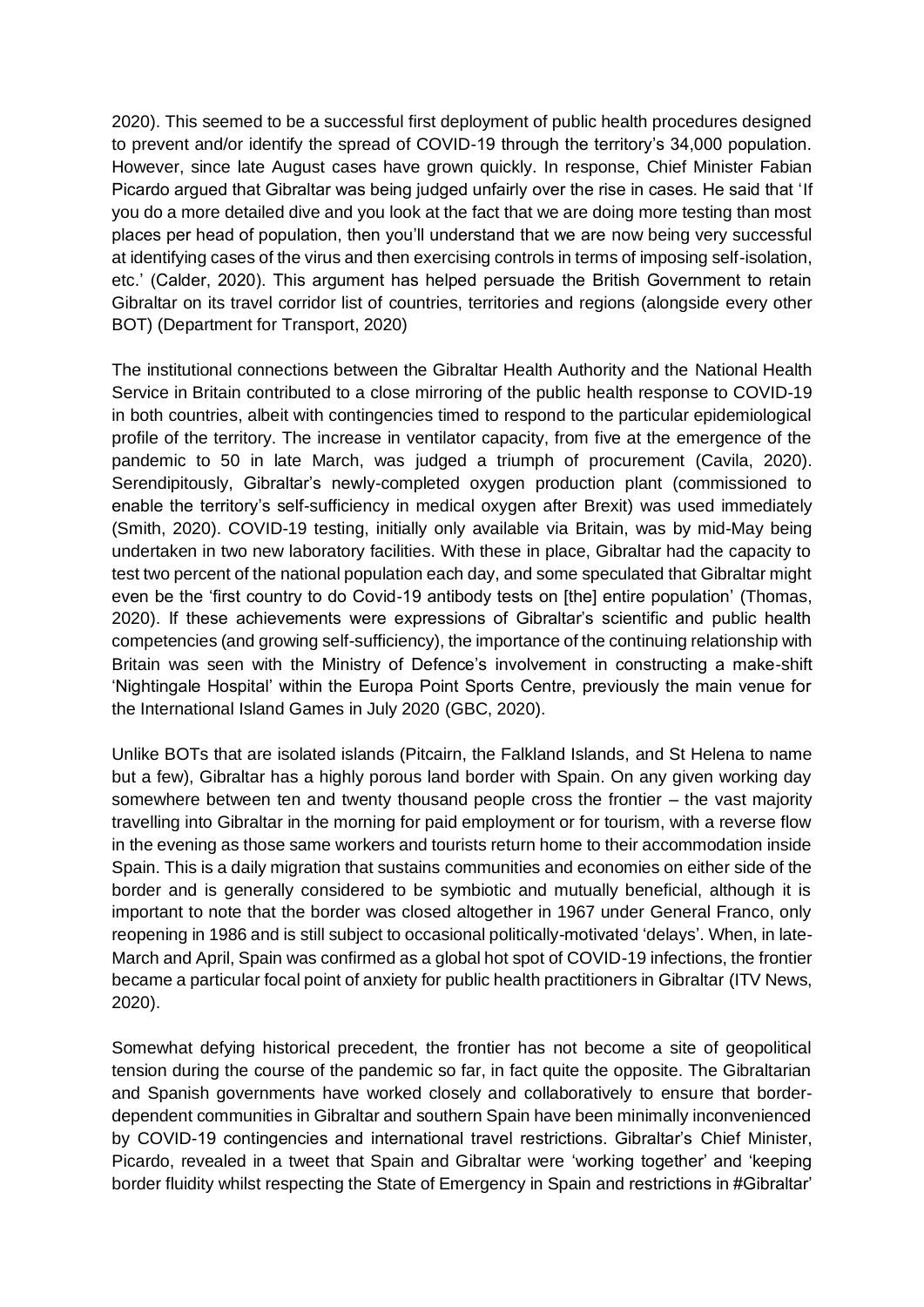2020). This seemed to be a successful first deployment of public health procedures designed to prevent and/or identify the spread of COVID-19 through the territory's 34,000 population. However, since late August cases have grown quickly. In response, Chief Minister Fabian Picardo argued that Gibraltar was being judged unfairly over the rise in cases. He said that 'If you do a more detailed dive and you look at the fact that we are doing more testing than most places per head of population, then you'll understand that we are now being very successful at identifying cases of the virus and then exercising controls in terms of imposing self-isolation, etc.' (Calder, 2020). This argument has helped persuade the British Government to retain Gibraltar on its travel corridor list of countries, territories and regions (alongside every other BOT) (Department for Transport, 2020)

The institutional connections between the Gibraltar Health Authority and the National Health Service in Britain contributed to a close mirroring of the public health response to COVID-19 in both countries, albeit with contingencies timed to respond to the particular epidemiological profile of the territory. The increase in ventilator capacity, from five at the emergence of the pandemic to 50 in late March, was judged a triumph of procurement (Cavila, 2020). Serendipitously, Gibraltar's newly-completed oxygen production plant (commissioned to enable the territory's self-sufficiency in medical oxygen after Brexit) was used immediately (Smith, 2020). COVID-19 testing, initially only available via Britain, was by mid-May being undertaken in two new laboratory facilities. With these in place, Gibraltar had the capacity to test two percent of the national population each day, and some speculated that Gibraltar might even be the 'first country to do Covid-19 antibody tests on [the] entire population' (Thomas, 2020). If these achievements were expressions of Gibraltar's scientific and public health competencies (and growing self-sufficiency), the importance of the continuing relationship with Britain was seen with the Ministry of Defence's involvement in constructing a make-shift 'Nightingale Hospital' within the Europa Point Sports Centre, previously the main venue for the International Island Games in July 2020 (GBC, 2020).

Unlike BOTs that are isolated islands (Pitcairn, the Falkland Islands, and St Helena to name but a few), Gibraltar has a highly porous land border with Spain. On any given working day somewhere between ten and twenty thousand people cross the frontier – the vast majority travelling into Gibraltar in the morning for paid employment or for tourism, with a reverse flow in the evening as those same workers and tourists return home to their accommodation inside Spain. This is a daily migration that sustains communities and economies on either side of the border and is generally considered to be symbiotic and mutually beneficial, although it is important to note that the border was closed altogether in 1967 under General Franco, only reopening in 1986 and is still subject to occasional politically-motivated 'delays'. When, in late-March and April, Spain was confirmed as a global hot spot of COVID-19 infections, the frontier became a particular focal point of anxiety for public health practitioners in Gibraltar (ITV News, 2020).

Somewhat defying historical precedent, the frontier has not become a site of geopolitical tension during the course of the pandemic so far, in fact quite the opposite. The Gibraltarian and Spanish governments have worked closely and collaboratively to ensure that borderdependent communities in Gibraltar and southern Spain have been minimally inconvenienced by COVID-19 contingencies and international travel restrictions. Gibraltar's Chief Minister, Picardo, revealed in a tweet that Spain and Gibraltar were 'working together' and 'keeping border fluidity whilst respecting the State of Emergency in Spain and restrictions in #Gibraltar'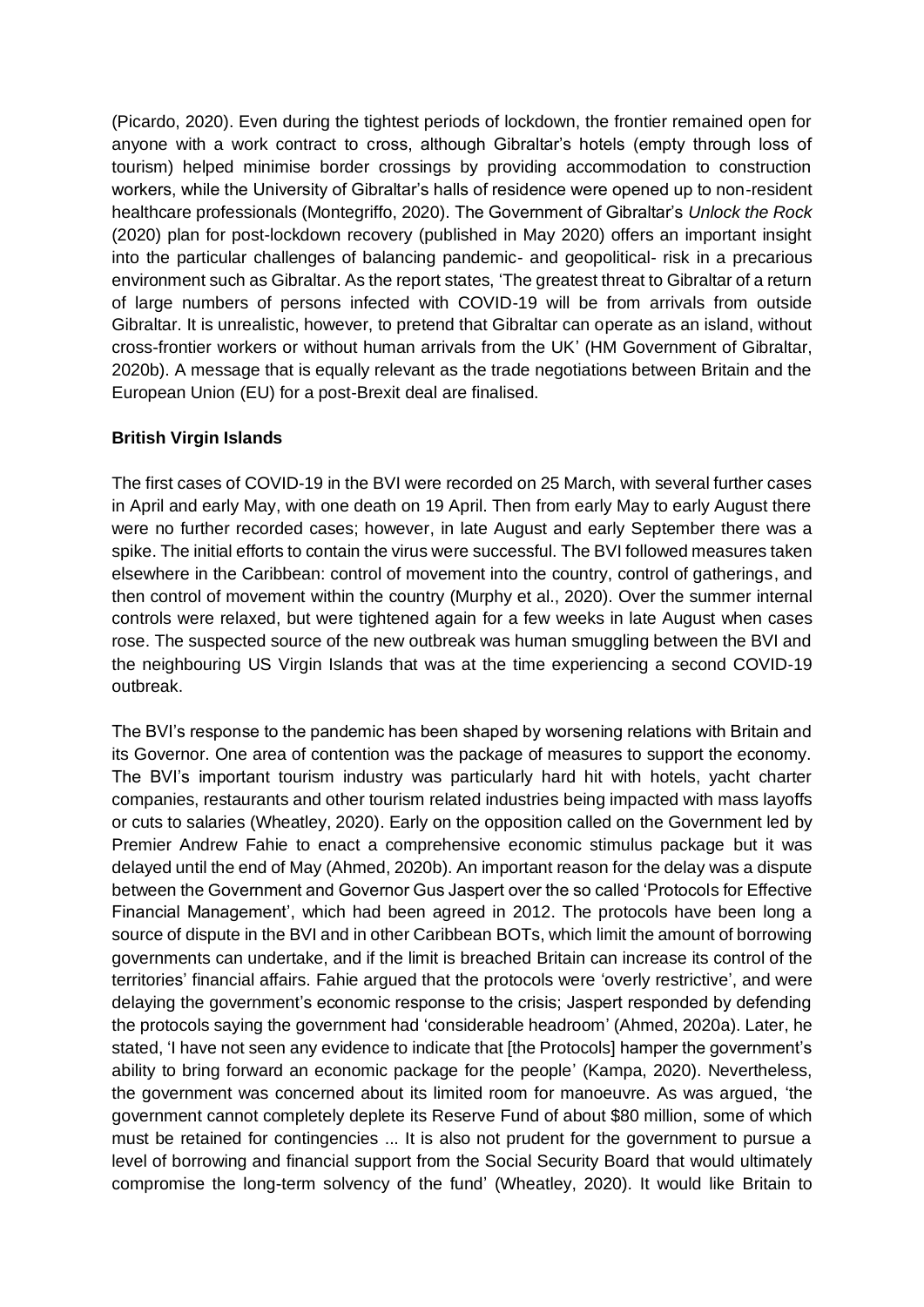(Picardo, 2020). Even during the tightest periods of lockdown, the frontier remained open for anyone with a work contract to cross, although Gibraltar's hotels (empty through loss of tourism) helped minimise border crossings by providing accommodation to construction workers, while the University of Gibraltar's halls of residence were opened up to non-resident healthcare professionals (Montegriffo, 2020). The Government of Gibraltar's *Unlock the Rock* (2020) plan for post-lockdown recovery (published in May 2020) offers an important insight into the particular challenges of balancing pandemic- and geopolitical- risk in a precarious environment such as Gibraltar. As the report states, 'The greatest threat to Gibraltar of a return of large numbers of persons infected with COVID-19 will be from arrivals from outside Gibraltar. It is unrealistic, however, to pretend that Gibraltar can operate as an island, without cross-frontier workers or without human arrivals from the UK' (HM Government of Gibraltar, 2020b). A message that is equally relevant as the trade negotiations between Britain and the European Union (EU) for a post-Brexit deal are finalised.

## **British Virgin Islands**

The first cases of COVID-19 in the BVI were recorded on 25 March, with several further cases in April and early May, with one death on 19 April. Then from early May to early August there were no further recorded cases; however, in late August and early September there was a spike. The initial efforts to contain the virus were successful. The BVI followed measures taken elsewhere in the Caribbean: control of movement into the country, control of gatherings, and then control of movement within the country (Murphy et al., 2020). Over the summer internal controls were relaxed, but were tightened again for a few weeks in late August when cases rose. The suspected source of the new outbreak was human smuggling between the BVI and the neighbouring US Virgin Islands that was at the time experiencing a second COVID-19 outbreak.

The BVI's response to the pandemic has been shaped by worsening relations with Britain and its Governor. One area of contention was the package of measures to support the economy. The BVI's important tourism industry was particularly hard hit with hotels, yacht charter companies, restaurants and other tourism related industries being impacted with mass layoffs or cuts to salaries (Wheatley, 2020). Early on the opposition called on the Government led by Premier Andrew Fahie to enact a comprehensive economic stimulus package but it was delayed until the end of May (Ahmed, 2020b). An important reason for the delay was a dispute between the Government and Governor Gus Jaspert over the so called 'Protocols for Effective Financial Management', which had been agreed in 2012. The protocols have been long a source of dispute in the BVI and in other Caribbean BOTs, which limit the amount of borrowing governments can undertake, and if the limit is breached Britain can increase its control of the territories' financial affairs. Fahie argued that the protocols were 'overly restrictive', and were delaying the government's economic response to the crisis; Jaspert responded by defending the protocols saying the government had 'considerable headroom' (Ahmed, 2020a). Later, he stated, 'I have not seen any evidence to indicate that [the Protocols] hamper the government's ability to bring forward an economic package for the people' (Kampa, 2020). Nevertheless, the government was concerned about its limited room for manoeuvre. As was argued, 'the government cannot completely deplete its Reserve Fund of about \$80 million, some of which must be retained for contingencies ... It is also not prudent for the government to pursue a level of borrowing and financial support from the Social Security Board that would ultimately compromise the long-term solvency of the fund' (Wheatley, 2020). It would like Britain to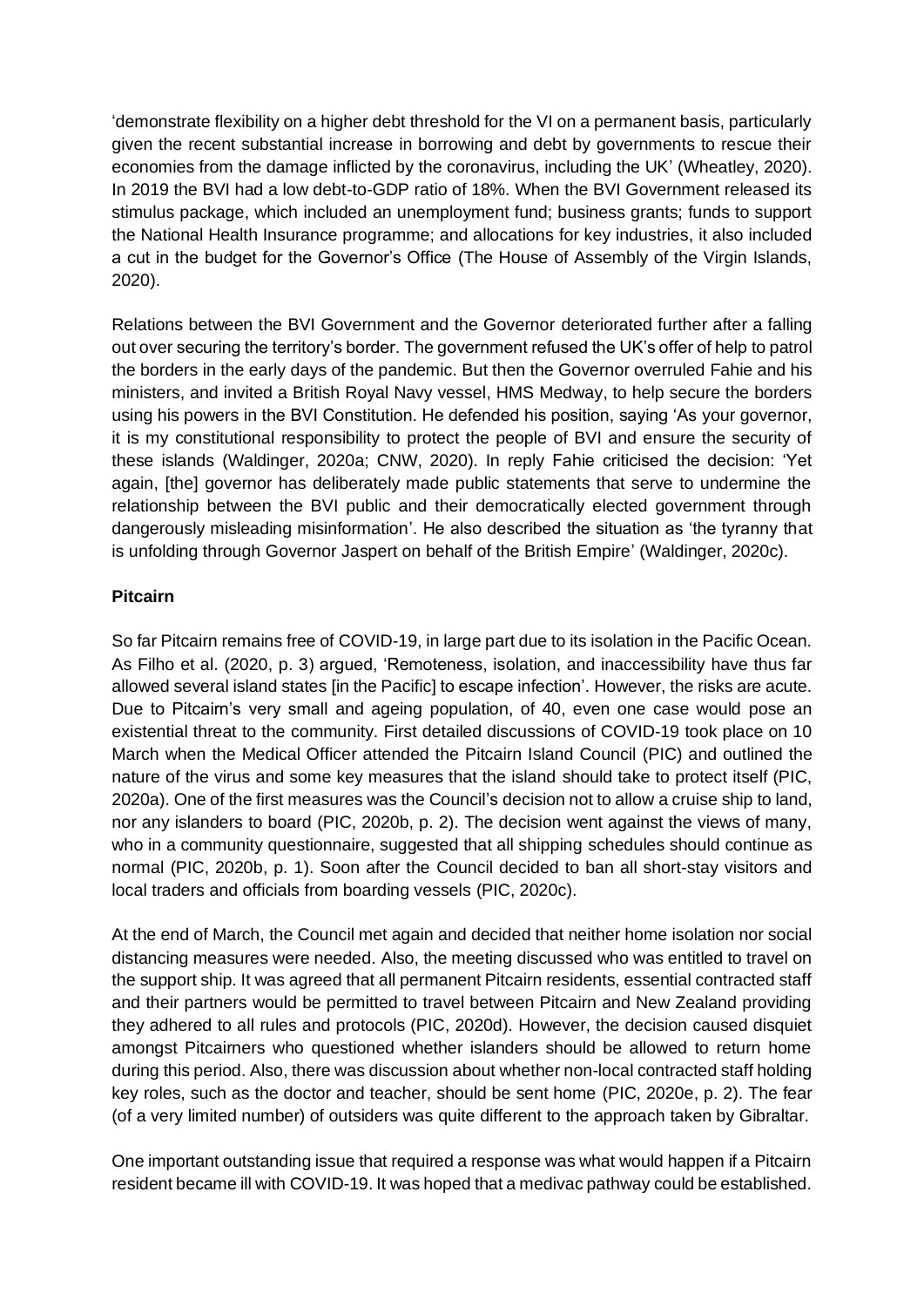'demonstrate flexibility on a higher debt threshold for the VI on a permanent basis, particularly given the recent substantial increase in borrowing and debt by governments to rescue their economies from the damage inflicted by the coronavirus, including the UK' (Wheatley, 2020). In 2019 the BVI had a low debt-to-GDP ratio of 18%. When the BVI Government released its stimulus package, which included an unemployment fund; business grants; funds to support the National Health Insurance programme; and allocations for key industries, it also included a cut in the budget for the Governor's Office (The House of Assembly of the Virgin Islands, 2020).

Relations between the BVI Government and the Governor deteriorated further after a falling out over securing the territory's border. The government refused the UK's offer of help to patrol the borders in the early days of the pandemic. But then the Governor overruled Fahie and his ministers, and invited a British Royal Navy vessel, HMS Medway, to help secure the borders using his powers in the BVI Constitution. He defended his position, saying 'As your governor, it is my constitutional responsibility to protect the people of BVI and ensure the security of these islands (Waldinger, 2020a; CNW, 2020). In reply Fahie criticised the decision: 'Yet again, [the] governor has deliberately made public statements that serve to undermine the relationship between the BVI public and their democratically elected government through dangerously misleading misinformation'. He also described the situation as 'the tyranny that is unfolding through Governor Jaspert on behalf of the British Empire' (Waldinger, 2020c).

# **Pitcairn**

So far Pitcairn remains free of COVID-19, in large part due to its isolation in the Pacific Ocean. As Filho et al. (2020, p. 3) argued, 'Remoteness, isolation, and inaccessibility have thus far allowed several island states [in the Pacific] to escape infection'. However, the risks are acute. Due to Pitcairn's very small and ageing population, of 40, even one case would pose an existential threat to the community. First detailed discussions of COVID-19 took place on 10 March when the Medical Officer attended the Pitcairn Island Council (PIC) and outlined the nature of the virus and some key measures that the island should take to protect itself (PIC, 2020a). One of the first measures was the Council's decision not to allow a cruise ship to land, nor any islanders to board (PIC, 2020b, p. 2). The decision went against the views of many, who in a community questionnaire, suggested that all shipping schedules should continue as normal (PIC, 2020b, p. 1). Soon after the Council decided to ban all short-stay visitors and local traders and officials from boarding vessels (PIC, 2020c).

At the end of March, the Council met again and decided that neither home isolation nor social distancing measures were needed. Also, the meeting discussed who was entitled to travel on the support ship. It was agreed that all permanent Pitcairn residents, essential contracted staff and their partners would be permitted to travel between Pitcairn and New Zealand providing they adhered to all rules and protocols (PIC, 2020d). However, the decision caused disquiet amongst Pitcairners who questioned whether islanders should be allowed to return home during this period. Also, there was discussion about whether non-local contracted staff holding key roles, such as the doctor and teacher, should be sent home (PIC, 2020e, p. 2). The fear (of a very limited number) of outsiders was quite different to the approach taken by Gibraltar.

One important outstanding issue that required a response was what would happen if a Pitcairn resident became ill with COVID-19. It was hoped that a medivac pathway could be established.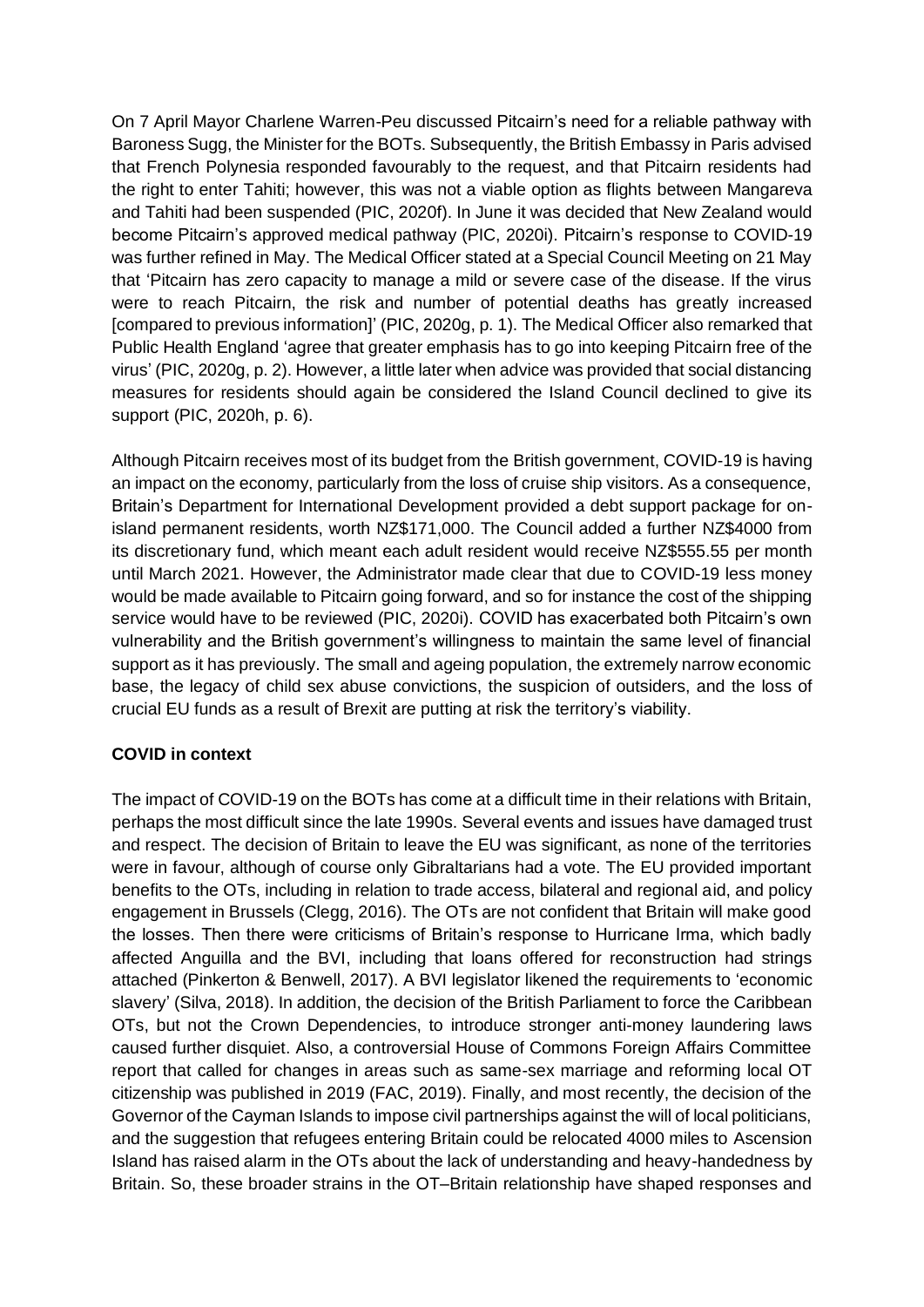On 7 April Mayor Charlene Warren-Peu discussed Pitcairn's need for a reliable pathway with Baroness Sugg, the Minister for the BOTs. Subsequently, the British Embassy in Paris advised that French Polynesia responded favourably to the request, and that Pitcairn residents had the right to enter Tahiti; however, this was not a viable option as flights between Mangareva and Tahiti had been suspended (PIC, 2020f). In June it was decided that New Zealand would become Pitcairn's approved medical pathway (PIC, 2020i). Pitcairn's response to COVID-19 was further refined in May. The Medical Officer stated at a Special Council Meeting on 21 May that 'Pitcairn has zero capacity to manage a mild or severe case of the disease. If the virus were to reach Pitcairn, the risk and number of potential deaths has greatly increased [compared to previous information]' (PIC, 2020g, p. 1). The Medical Officer also remarked that Public Health England 'agree that greater emphasis has to go into keeping Pitcairn free of the virus' (PIC, 2020g, p. 2). However, a little later when advice was provided that social distancing measures for residents should again be considered the Island Council declined to give its support (PIC, 2020h, p. 6).

Although Pitcairn receives most of its budget from the British government, COVID-19 is having an impact on the economy, particularly from the loss of cruise ship visitors. As a consequence, Britain's Department for International Development provided a debt support package for onisland permanent residents, worth NZ\$171,000. The Council added a further NZ\$4000 from its discretionary fund, which meant each adult resident would receive NZ\$555.55 per month until March 2021. However, the Administrator made clear that due to COVID-19 less money would be made available to Pitcairn going forward, and so for instance the cost of the shipping service would have to be reviewed (PIC, 2020i). COVID has exacerbated both Pitcairn's own vulnerability and the British government's willingness to maintain the same level of financial support as it has previously. The small and ageing population, the extremely narrow economic base, the legacy of child sex abuse convictions, the suspicion of outsiders, and the loss of crucial EU funds as a result of Brexit are putting at risk the territory's viability.

# **COVID in context**

The impact of COVID-19 on the BOTs has come at a difficult time in their relations with Britain, perhaps the most difficult since the late 1990s. Several events and issues have damaged trust and respect. The decision of Britain to leave the EU was significant, as none of the territories were in favour, although of course only Gibraltarians had a vote. The EU provided important benefits to the OTs, including in relation to trade access, bilateral and regional aid, and policy engagement in Brussels (Clegg, 2016). The OTs are not confident that Britain will make good the losses. Then there were criticisms of Britain's response to Hurricane Irma, which badly affected Anguilla and the BVI, including that loans offered for reconstruction had strings attached (Pinkerton & Benwell, 2017). A BVI legislator likened the requirements to 'economic slavery' (Silva, 2018). In addition, the decision of the British Parliament to force the Caribbean OTs, but not the Crown Dependencies, to introduce stronger anti-money laundering laws caused further disquiet. Also, a controversial House of Commons Foreign Affairs Committee report that called for changes in areas such as same-sex marriage and reforming local OT citizenship was published in 2019 (FAC, 2019). Finally, and most recently, the decision of the Governor of the Cayman Islands to impose civil partnerships against the will of local politicians, and the suggestion that refugees entering Britain could be relocated 4000 miles to Ascension Island has raised alarm in the OTs about the lack of understanding and heavy-handedness by Britain. So, these broader strains in the OT–Britain relationship have shaped responses and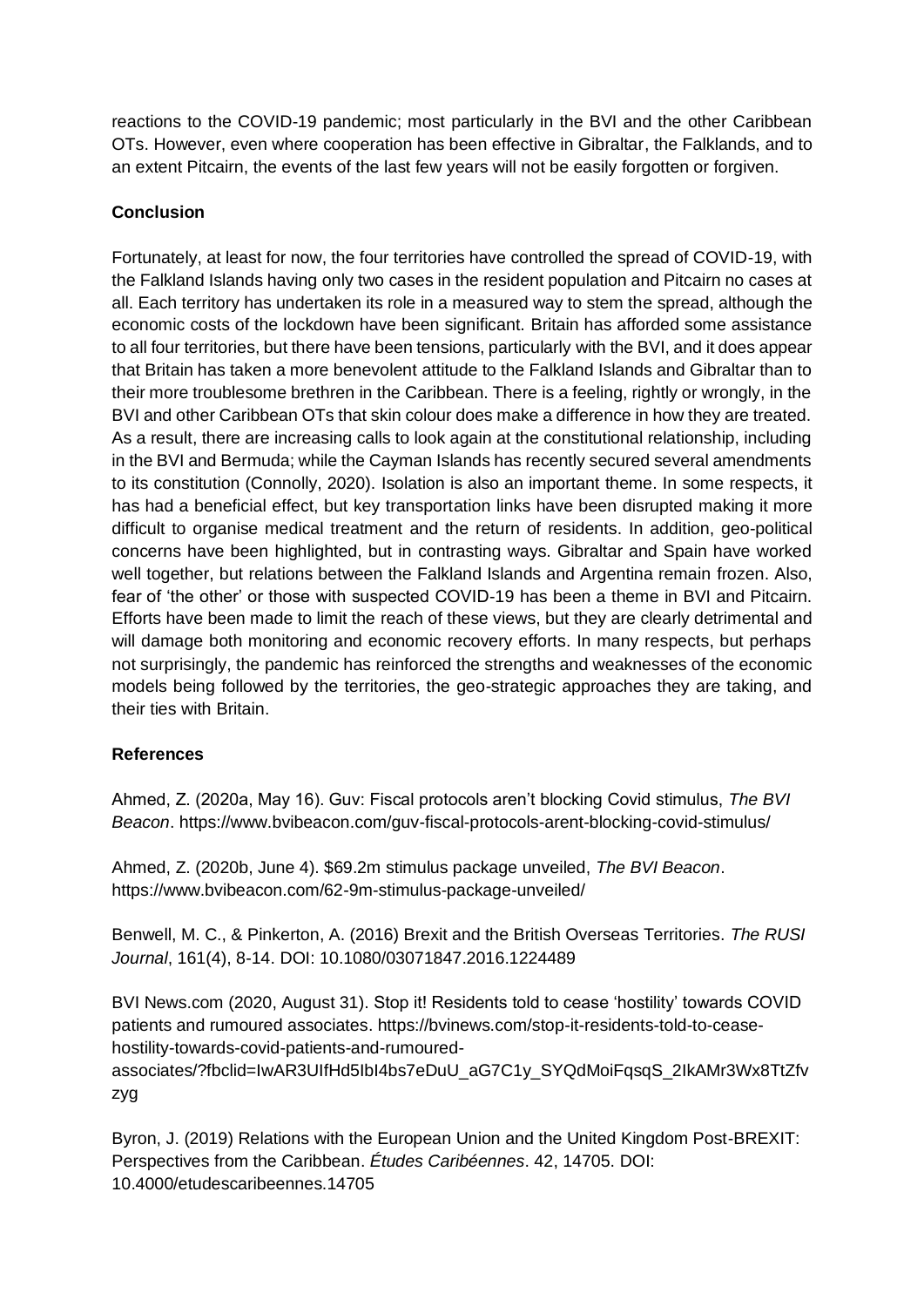reactions to the COVID-19 pandemic; most particularly in the BVI and the other Caribbean OTs. However, even where cooperation has been effective in Gibraltar, the Falklands, and to an extent Pitcairn, the events of the last few years will not be easily forgotten or forgiven.

# **Conclusion**

Fortunately, at least for now, the four territories have controlled the spread of COVID-19, with the Falkland Islands having only two cases in the resident population and Pitcairn no cases at all. Each territory has undertaken its role in a measured way to stem the spread, although the economic costs of the lockdown have been significant. Britain has afforded some assistance to all four territories, but there have been tensions, particularly with the BVI, and it does appear that Britain has taken a more benevolent attitude to the Falkland Islands and Gibraltar than to their more troublesome brethren in the Caribbean. There is a feeling, rightly or wrongly, in the BVI and other Caribbean OTs that skin colour does make a difference in how they are treated. As a result, there are increasing calls to look again at the constitutional relationship, including in the BVI and Bermuda; while the Cayman Islands has recently secured several amendments to its constitution (Connolly, 2020). Isolation is also an important theme. In some respects, it has had a beneficial effect, but key transportation links have been disrupted making it more difficult to organise medical treatment and the return of residents. In addition, geo-political concerns have been highlighted, but in contrasting ways. Gibraltar and Spain have worked well together, but relations between the Falkland Islands and Argentina remain frozen. Also, fear of 'the other' or those with suspected COVID-19 has been a theme in BVI and Pitcairn. Efforts have been made to limit the reach of these views, but they are clearly detrimental and will damage both monitoring and economic recovery efforts. In many respects, but perhaps not surprisingly, the pandemic has reinforced the strengths and weaknesses of the economic models being followed by the territories, the geo-strategic approaches they are taking, and their ties with Britain.

# **References**

Ahmed, Z. (2020a, May 16). Guv: Fiscal protocols aren't blocking Covid stimulus, *The BVI Beacon*. https://www.bvibeacon.com/guv-fiscal-protocols-arent-blocking-covid-stimulus/

Ahmed, Z. (2020b, June 4). \$69.2m stimulus package unveiled, *The BVI Beacon*. https://www.bvibeacon.com/62-9m-stimulus-package-unveiled/

Benwell, M. C., & Pinkerton, A. (2016) Brexit and the British Overseas Territories. *The RUSI Journal*, 161(4), 8-14. DOI: 10.1080/03071847.2016.1224489

BVI News.com (2020, August 31). Stop it! Residents told to cease 'hostility' towards COVID patients and rumoured associates. https://bvinews.com/stop-it-residents-told-to-ceasehostility-towards-covid-patients-and-rumoured-

associates/?fbclid=IwAR3UIfHd5IbI4bs7eDuU\_aG7C1y\_SYQdMoiFqsqS\_2IkAMr3Wx8TtZfv zyg

Byron, J. (2019) Relations with the European Union and the United Kingdom Post-BREXIT: Perspectives from the Caribbean. *Études Caribéennes*. 42, 14705. DOI: 10.4000/etudescaribeennes.14705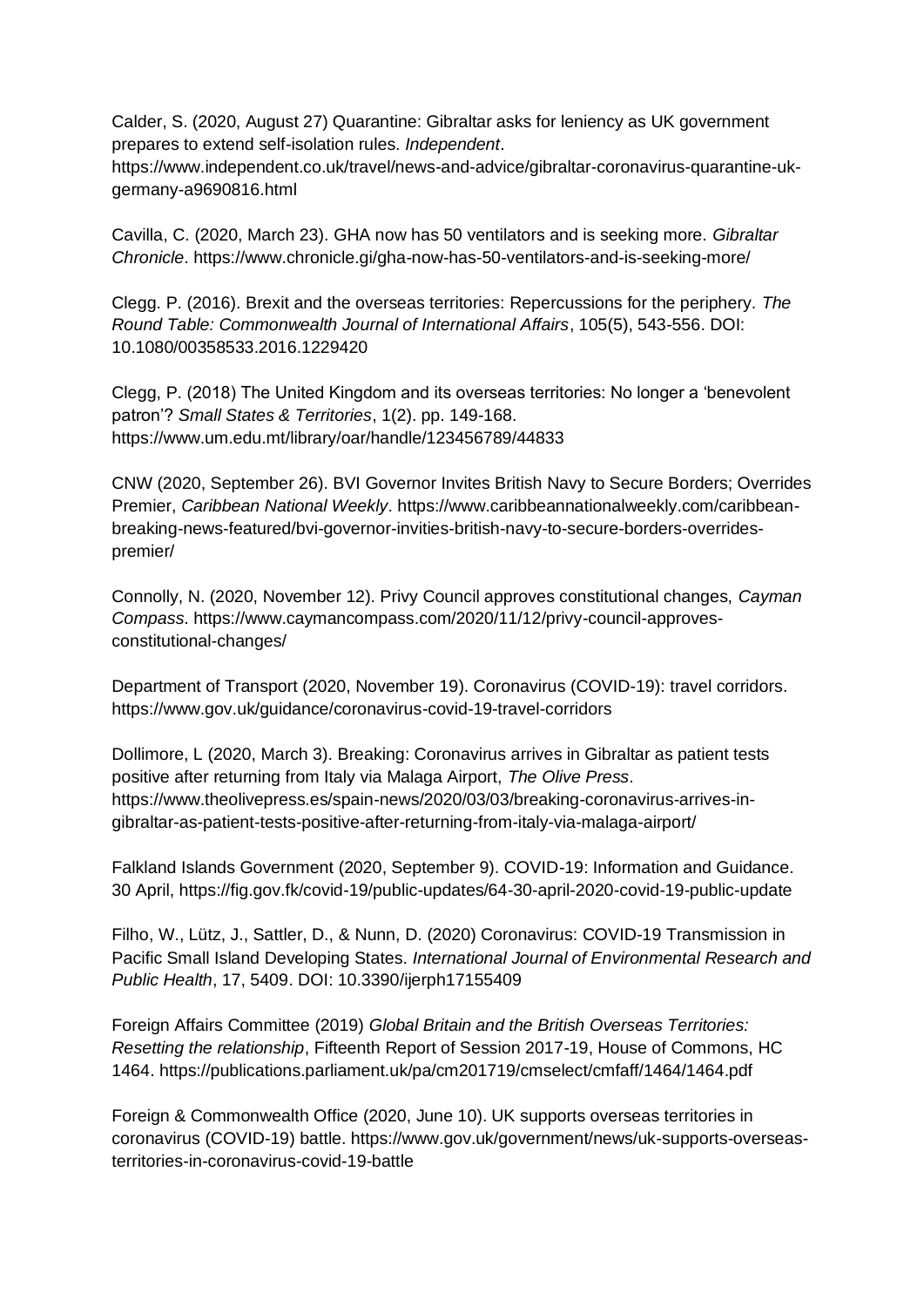Calder, S. (2020, August 27) Quarantine: Gibraltar asks for leniency as UK government prepares to extend self-isolation rules. *Independent*.

https://www.independent.co.uk/travel/news-and-advice/gibraltar-coronavirus-quarantine-ukgermany-a9690816.html

Cavilla, C. (2020, March 23). GHA now has 50 ventilators and is seeking more. *Gibraltar Chronicle*.<https://www.chronicle.gi/gha-now-has-50-ventilators-and-is-seeking-more/>

Clegg. P. (2016). Brexit and the overseas territories: Repercussions for the periphery. *The Round Table: Commonwealth Journal of International Affairs*, 105(5), 543-556. DOI: 10.1080/00358533.2016.1229420

Clegg, P. (2018) The United Kingdom and its overseas territories: No longer a 'benevolent patron'? *Small States & Territories*, 1(2). pp. 149-168. https://www.um.edu.mt/library/oar/handle/123456789/44833

CNW (2020, September 26). BVI Governor Invites British Navy to Secure Borders; Overrides Premier, *Caribbean National Weekly*. https://www.caribbeannationalweekly.com/caribbeanbreaking-news-featured/bvi-governor-invities-british-navy-to-secure-borders-overridespremier/

Connolly, N. (2020, November 12). Privy Council approves constitutional changes, *Cayman Compass*. https://www.caymancompass.com/2020/11/12/privy-council-approvesconstitutional-changes/

Department of Transport (2020, November 19). Coronavirus (COVID-19): travel corridors. https://www.gov.uk/guidance/coronavirus-covid-19-travel-corridors

Dollimore, L (2020, March 3). Breaking: Coronavirus arrives in Gibraltar as patient tests positive after returning from Italy via Malaga Airport, *The Olive Press*. [https://www.theolivepress.es/spain-news/2020/03/03/breaking-coronavirus-arrives-in](https://www.theolivepress.es/spain-news/2020/03/03/breaking-coronavirus-arrives-in-gibraltar-as-patient-tests-positive-after-returning-from-italy-via-malaga-airport/)[gibraltar-as-patient-tests-positive-after-returning-from-italy-via-malaga-airport/](https://www.theolivepress.es/spain-news/2020/03/03/breaking-coronavirus-arrives-in-gibraltar-as-patient-tests-positive-after-returning-from-italy-via-malaga-airport/)

Falkland Islands Government (2020, September 9). COVID-19: Information and Guidance. 30 April, https://fig.gov.fk/covid-19/public-updates/64-30-april-2020-covid-19-public-update

Filho, W., Lütz, J., Sattler, D., & Nunn, D. (2020) Coronavirus: COVID-19 Transmission in Pacific Small Island Developing States. *International Journal of Environmental Research and Public Health*, 17, 5409. DOI: 10.3390/ijerph17155409

Foreign Affairs Committee (2019) *Global Britain and the British Overseas Territories: Resetting the relationship*, Fifteenth Report of Session 2017-19, House of Commons, HC 1464. https://publications.parliament.uk/pa/cm201719/cmselect/cmfaff/1464/1464.pdf

Foreign & Commonwealth Office (2020, June 10). UK supports overseas territories in coronavirus (COVID-19) battle. https://www.gov.uk/government/news/uk-supports-overseasterritories-in-coronavirus-covid-19-battle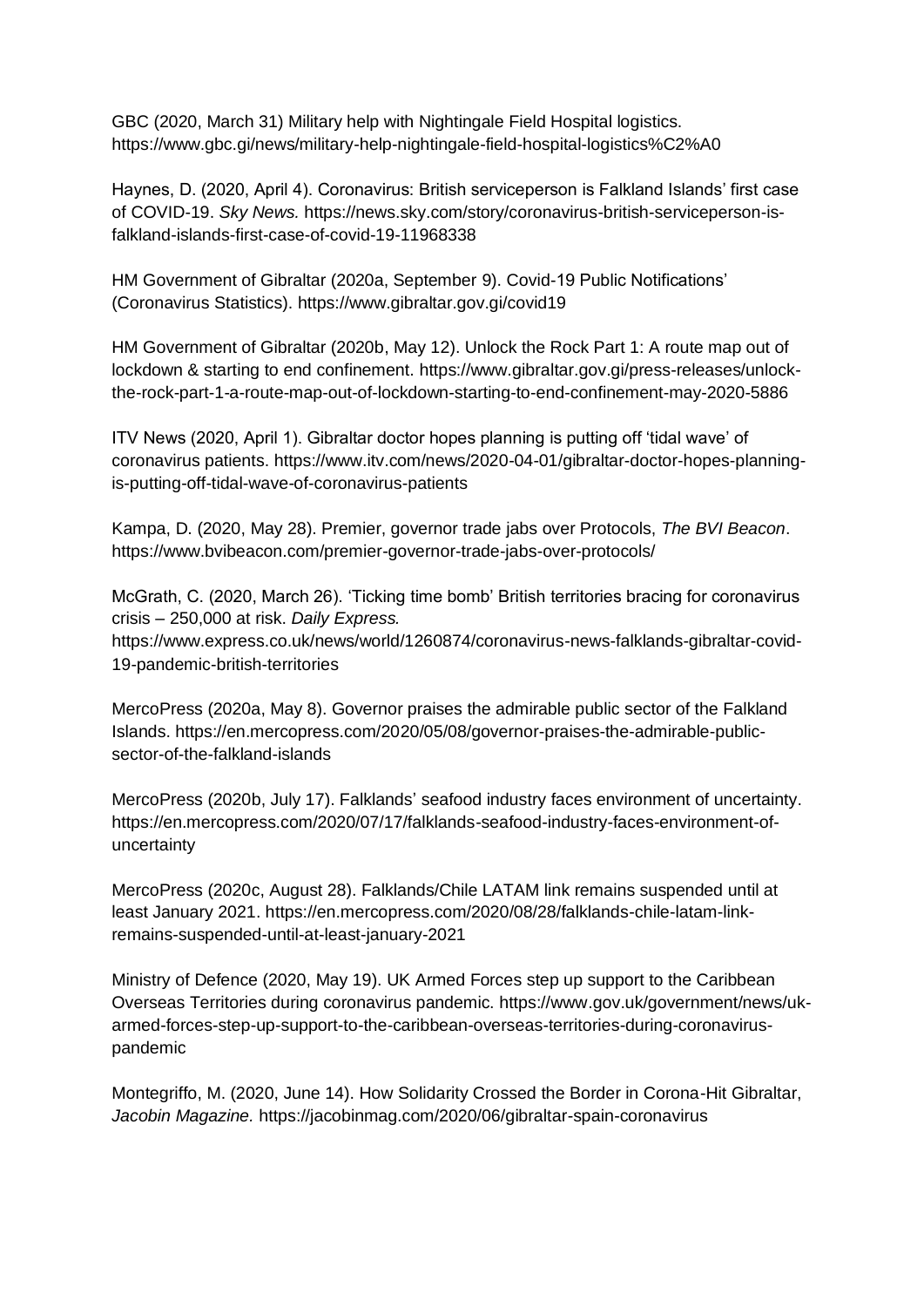GBC (2020, March 31) Military help with Nightingale Field Hospital logistics. https://www.gbc.gi/news/military-help-nightingale-field-hospital-logistics%C2%A0

Haynes, D. (2020, April 4). Coronavirus: British serviceperson is Falkland Islands' first case of COVID-19. *Sky News.* https://news.sky.com/story/coronavirus-british-serviceperson-isfalkland-islands-first-case-of-covid-19-11968338

HM Government of Gibraltar (2020a, September 9). Covid-19 Public Notifications' (Coronavirus Statistics).<https://www.gibraltar.gov.gi/covid19>

HM Government of Gibraltar (2020b, May 12). Unlock the Rock Part 1: A route map out of lockdown & starting to end confinement. [https://www.gibraltar.gov.gi/press-releases/unlock](https://www.gibraltar.gov.gi/press-releases/unlock-the-rock-part-1-a-route-map-out-of-lockdown-starting-to-end-confinement-may-2020-5886)[the-rock-part-1-a-route-map-out-of-lockdown-starting-to-end-confinement-may-2020-5886](https://www.gibraltar.gov.gi/press-releases/unlock-the-rock-part-1-a-route-map-out-of-lockdown-starting-to-end-confinement-may-2020-5886)

ITV News (2020, April 1). Gibraltar doctor hopes planning is putting off 'tidal wave' of coronavirus patients. [https://www.itv.com/news/2020-04-01/gibraltar-doctor-hopes-planning](https://www.itv.com/news/2020-04-01/gibraltar-doctor-hopes-planning-is-putting-off-tidal-wave-of-coronavirus-patients)[is-putting-off-tidal-wave-of-coronavirus-patients](https://www.itv.com/news/2020-04-01/gibraltar-doctor-hopes-planning-is-putting-off-tidal-wave-of-coronavirus-patients)

Kampa, D. (2020, May 28). Premier, governor trade jabs over Protocols, *The BVI Beacon*. https://www.bvibeacon.com/premier-governor-trade-jabs-over-protocols/

McGrath, C. (2020, March 26). 'Ticking time bomb' British territories bracing for coronavirus crisis – 250,000 at risk. *Daily Express.*  https://www.express.co.uk/news/world/1260874/coronavirus-news-falklands-gibraltar-covid-19-pandemic-british-territories

MercoPress (2020a, May 8). Governor praises the admirable public sector of the Falkland Islands. https://en.mercopress.com/2020/05/08/governor-praises-the-admirable-publicsector-of-the-falkland-islands

MercoPress (2020b, July 17). Falklands' seafood industry faces environment of uncertainty. https://en.mercopress.com/2020/07/17/falklands-seafood-industry-faces-environment-ofuncertainty

MercoPress (2020c, August 28). Falklands/Chile LATAM link remains suspended until at least January 2021. https://en.mercopress.com/2020/08/28/falklands-chile-latam-linkremains-suspended-until-at-least-january-2021

Ministry of Defence (2020, May 19). UK Armed Forces step up support to the Caribbean Overseas Territories during coronavirus pandemic. https://www.gov.uk/government/news/ukarmed-forces-step-up-support-to-the-caribbean-overseas-territories-during-coronaviruspandemic

Montegriffo, M. (2020, June 14). How Solidarity Crossed the Border in Corona-Hit Gibraltar, *Jacobin Magazine.* <https://jacobinmag.com/2020/06/gibraltar-spain-coronavirus>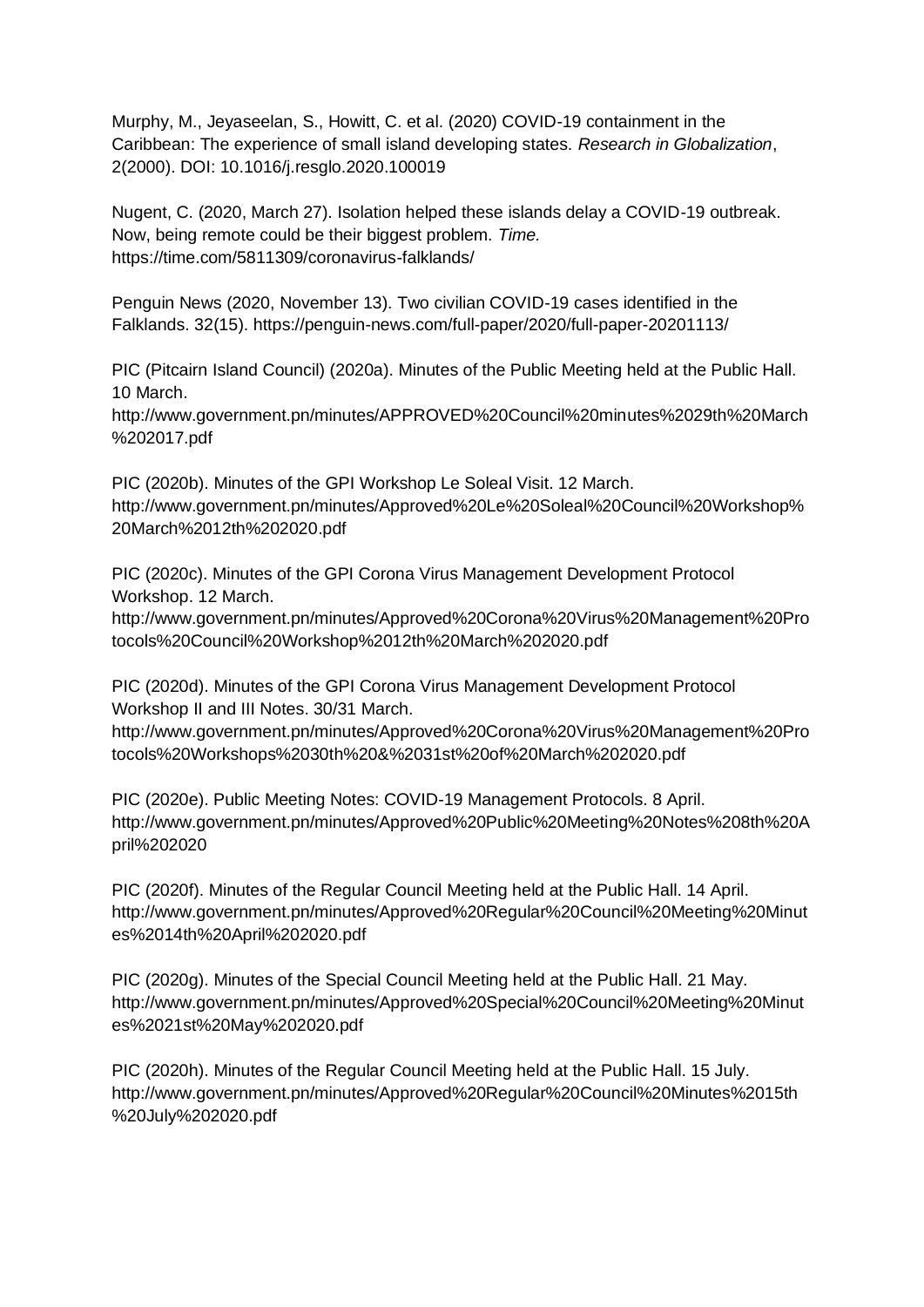Murphy, M., Jeyaseelan, S., Howitt, C. et al. (2020) COVID-19 containment in the Caribbean: The experience of small island developing states. *Research in Globalization*, 2(2000). DOI: 10.1016/j.resglo.2020.100019

Nugent, C. (2020, March 27). Isolation helped these islands delay a COVID-19 outbreak. Now, being remote could be their biggest problem. *Time.* https://time.com/5811309/coronavirus-falklands/

Penguin News (2020, November 13). Two civilian COVID-19 cases identified in the Falklands. 32(15). https://penguin-news.com/full-paper/2020/full-paper-20201113/

PIC (Pitcairn Island Council) (2020a). Minutes of the Public Meeting held at the Public Hall. 10 March.

http://www.government.pn/minutes/APPROVED%20Council%20minutes%2029th%20March %202017.pdf

PIC (2020b). Minutes of the GPI Workshop Le Soleal Visit. 12 March. http://www.government.pn/minutes/Approved%20Le%20Soleal%20Council%20Workshop% 20March%2012th%202020.pdf

PIC (2020c). Minutes of the GPI Corona Virus Management Development Protocol Workshop. 12 March.

http://www.government.pn/minutes/Approved%20Corona%20Virus%20Management%20Pro tocols%20Council%20Workshop%2012th%20March%202020.pdf

PIC (2020d). Minutes of the GPI Corona Virus Management Development Protocol Workshop II and III Notes. 30/31 March.

http://www.government.pn/minutes/Approved%20Corona%20Virus%20Management%20Pro tocols%20Workshops%2030th%20&%2031st%20of%20March%202020.pdf

PIC (2020e). Public Meeting Notes: COVID-19 Management Protocols. 8 April. http://www.government.pn/minutes/Approved%20Public%20Meeting%20Notes%208th%20A pril%202020

PIC (2020f). Minutes of the Regular Council Meeting held at the Public Hall. 14 April. http://www.government.pn/minutes/Approved%20Regular%20Council%20Meeting%20Minut es%2014th%20April%202020.pdf

PIC (2020g). Minutes of the Special Council Meeting held at the Public Hall. 21 May. http://www.government.pn/minutes/Approved%20Special%20Council%20Meeting%20Minut es%2021st%20May%202020.pdf

PIC (2020h). Minutes of the Regular Council Meeting held at the Public Hall. 15 July. http://www.government.pn/minutes/Approved%20Regular%20Council%20Minutes%2015th %20July%202020.pdf